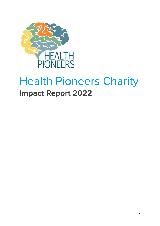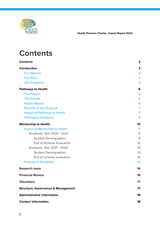

## <span id="page-1-0"></span>**Contents**

| <b>Contents</b>                               | 2              |
|-----------------------------------------------|----------------|
| Introduction                                  | 3              |
| <b>Our Mission</b>                            | 3              |
| <b>Our Story</b>                              | 3              |
| <b>Our Programs</b>                           | 4              |
| <b>Pathways to Health</b>                     | 6              |
| <b>The Project</b>                            | 6              |
| <b>The Events</b>                             | 6              |
| <b>Impact Report</b>                          | 6              |
| <b>Benefits of the Program</b>                | $\overline{7}$ |
| <b>Impact of Pathways to Health</b>           | 7              |
| <b>Participant Feedback</b>                   | 9              |
| <b>Mentorship to Health</b>                   | 10             |
| Impact of Mentorship to Health                | 11             |
| <b>Academic Year 2020 - 2021</b>              | 11             |
| <b>Student Demographics</b>                   | 11             |
| <b>End of Scheme Evaluation</b>               | 12             |
| Academic Year 2021 - 2022                     | 13             |
| <b>Student Demographics</b>                   | 13             |
| End of scheme evaluation                      | 15             |
| <b>Participant Feedback</b>                   | 15             |
| <b>Research team</b>                          | 16             |
| <b>Financial Review</b>                       | 16             |
| <b>Volunteers</b>                             | 17             |
| <b>Structure, Governance &amp; Management</b> | 17             |
| <b>Administrative Information</b>             | 18             |
| <b>Contact Information</b>                    | 18             |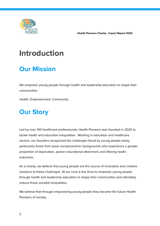

## <span id="page-2-0"></span>**Introduction**

### <span id="page-2-1"></span>**Our Mission**

We empower young people through health and leadership education to shape their communities.

Health. Empowerment. Community.

## <span id="page-2-2"></span>**Our Story**

Led by over 150 healthcare professionals, Health Pioneers was founded in 2020 to tackle health and education inequalities. Working in education and healthcare sectors, our founders recognized the challenges faced by young people today, particularly those from lower socioeconomic backgrounds who experience a greater proportion of deprivation, poorer educational attainment, and lifelong health outcomes.

As a charity, we believe that young people are the source of innovative and creative solutions to these challenges. At our core is the drive to empower young people through health and leadership education to shape their communities and ultimately reduce these societal inequalities.

We believe that through empowering young people they become the future Health Pioneers of society.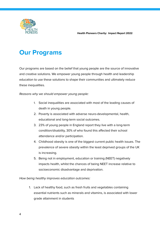



### <span id="page-3-0"></span>**Our Programs**

Our programs are based on the belief that young people are the source of innovative and creative solutions. We empower young people through health and leadership education to use these solutions to shape their communities and ultimately reduce these inequalities.

### Reasons why we should empower young people:

- 1. Social inequalities are associated with most of the leading causes of death in young people.
- 2. Poverty is associated with adverse neuro-developmental, health, educational and long-term social outcomes.
- 3. 23% of young people in England report they live with a long-term condition/disability, 30% of who found this affected their school attendance and/or participation.
- 4. Childhood obesity is one of the biggest current public health issues. The prevalence of severe obesity within the least deprived groups of the UK is increasing.
- 5. Being not in employment, education or training (NEET) negatively impacts health, whilst the chances of being NEET increase relative to socioeconomic disadvantage and deprivation.

How being healthy improves education outcomes:

1. Lack of healthy food, such as fresh fruits and vegetables containing essential nutrients such as minerals and vitamins, is associated with lower grade attainment in students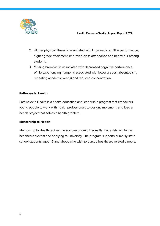

- 2. Higher physical fitness is associated with improved cognitive performance, higher grade attainment, improved class attendance and behaviour among students.
- 3. Missing breakfast is associated with decreased cognitive performance. While experiencing hunger is associated with lower grades, absenteeism, repeating academic year(s) and reduced concentration.

### **Pathways to Health**

Pathways to Health is a health education and leadership program that empowers young people to work with health professionals to design, implement, and lead a health project that solves a health problem.

### **Mentorship to Health**

Mentorship to Health tackles the socio-economic inequality that exists within the healthcare system and applying to university. The program supports primarily state school students aged 16 and above who wish to pursue healthcare related careers.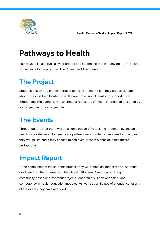

## <span id="page-5-0"></span>**Pathways to Health**

Pathways to Health runs all year around and students can join at any point. There are two aspects to the program: The Project and The Events.

## <span id="page-5-1"></span>**The Project**

Students design and create a project to tackle a health issue they are passionate about. They will be allocated a healthcare professional mentor to support them throughout. The overall aim is to create a repository of health information designed by young people for young people.

### <span id="page-5-2"></span>**The Events**

Throughout the year there will be a combination of virtual and in-person events on health topics delivered by healthcare professionals. Students can attend as many as they would like and if they choose to can even present alongside a healthcare professional!

### <span id="page-5-3"></span>**Impact Report**

Upon completion of the students project, they will submit an impact report. Students graduate from the scheme with their Health Pioneers Award recognizing community-based improvement projects, leadership skills development and competency in health education modules. As well as certificates of attendance for any of the events they have attended.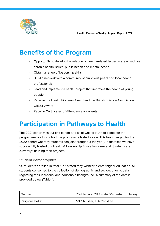

### <span id="page-6-0"></span>**Benefits of the Program**

- · Opportunity to develop knowledge of health-related issues in areas such as chronic health issues, public health and mental health.
- · Obtain a range of leadership skills
- Build a network with a community of ambitious peers and local health professionals
- Lead and implement a health project that improves the health of young people
- · Receive the Health Pioneers Award and the British Science Association CREST Award
- Receive Certificates of Attendance for events

### <span id="page-6-1"></span>**Participation in Pathways to Health**

The 2021 cohort was our first cohort and as of writing is yet to complete the programme (for this cohort the programme lasted a year. This has changed for the 2022 cohort whereby students can join throughout the year). In that time we have successfully hosted our Health & Leadership Education Weekend. Students are currently finalising their projects.

### Student demographics

96 students enrolled in total, 97% stated they wished to enter higher education. All students consented to the collection of demographic and socioeconomic data regarding their individual and household background. A summary of the data is provided below (Table 1).

| Gender           | 70% female, 28% male, 2% prefer not to say |
|------------------|--------------------------------------------|
| Religious belief | 59% Muslim, 18% Christian                  |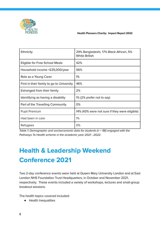

| Ethnicity                                 | 29% Bangladeshi, 17% Black African, 5%<br><b>White British</b> |
|-------------------------------------------|----------------------------------------------------------------|
| Eligible for Free School Meals            | 42%                                                            |
| Household income <£35,000/year            | 56%                                                            |
| Role as a Young Carer                     | 1%                                                             |
| First in their family to go to University | 46%                                                            |
| Estranged from their family               | 2%                                                             |
| Identifying as having a disability        | 1% (2% prefer not to say)                                      |
| Part of the Travelling Community          | 0%                                                             |
| <b>Pupil Premium</b>                      | 14% (43% were not sure if they were eligible)                  |
| Had been in care                          | 1%                                                             |
| Refugees                                  | 0%                                                             |

Table 1: Demographic and socioeconomic data for students ( $n = 96$ ) engaged with the Pathways To Health scheme in the academic year 2021 - 2022.

## **Health & Leadership Weekend Conference 2021**

Two 2-day conference events were held at Queen Mary University London and at East London NHS Foundation Trust Headquarters, in October and November 2021, respectively. These events included a variety of workshops, lectures and small-group breakout sessions.

The health topics covered included:

● Health Inequalities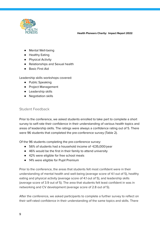

- Mental Well-being
- Healthy Eating
- Physical Activity
- Relationships and Sexual health
- Basic First Aid

Leadership skills workshops covered:

- Public Speaking
- Project Management
- Leadership skills
- Negotiation skills

### Student Feedback

Prior to the conference, we asked students enrolled to take part to complete a short survey to self-rate their confidence in their understanding of various health topics and areas of leadership skills. The ratings were always a confidence rating out of 5. There were 96 students that completed the pre-conference survey (Table 2).

Of the 96 students completing the pre-conference survey:

- 56% of students had a household income of <£35,000/year
- 46% would be the first in their family to attend university
- 42% were eligible for free school meals
- 14% were eligible for Pupil Premium

Prior to the conference, the areas that students felt most confident were in their understanding of mental health and well-being (average score of 4.1 out of 5), healthy eating and physical activity (average score of 4.1 out of 5), and leadership skills (average score of 3.9 out of 5). The area that students felt least confident in was in networking and CV development (average score of 2.8 out of 5).

After the conference, we asked participants to complete a further survey to reflect on their self-rated confidence in their understanding of the same topics and skills. There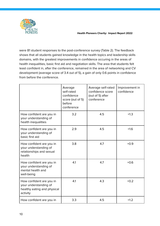

were 81 student responses to the post-conference survey (Table 2). The feedback shows that all students gained knowledge in the health topics and leadership skills domains, with the greatest improvements in confidence occuring in the areas of health inequalities, basic first aid and negotiation skills. The area that students felt least confident in, after the conference, remained in the area of networking and CV development (average score of 3.4 out of 5), a gain of only 0.6 points in confidence from before the conference.

|                                                                                              | Average<br>self-rated<br>confidence<br>score (out of 5)<br>before<br>conference | Average self-rated<br>confidence score<br>(out of 5) after<br>conference | Improvement in<br>confidence |
|----------------------------------------------------------------------------------------------|---------------------------------------------------------------------------------|--------------------------------------------------------------------------|------------------------------|
| How confident are you in<br>your understanding of<br>health inequalities                     | 3.2                                                                             | 4.5                                                                      | $+1.3$                       |
| How confident are you in<br>your understanding of<br>basic first aid                         | 2.9                                                                             | 4.5                                                                      | $+1.6$                       |
| How confident are you in<br>your understanding of<br>relationships and sexual<br>health      | 3.8                                                                             | 4.7                                                                      | $+0.9$                       |
| How confident are you in<br>your understanding of<br>mental health and<br>well-being         | 4.1                                                                             | 4.7                                                                      | $+0.6$                       |
| How confident are you in<br>your understanding of<br>healthy eating and physical<br>activity | 4.1                                                                             | 4.3                                                                      | $+0.2$                       |
| How confident are you in                                                                     | 3.3                                                                             | 4.5                                                                      | $+1.2$                       |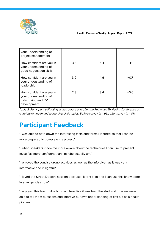

| your understanding of<br>project management                                           |     |     |        |
|---------------------------------------------------------------------------------------|-----|-----|--------|
| How confident are you in<br>your understanding of<br>good negotiation skills          | 3.3 | 4.4 | $+1.1$ |
| How confident are you in<br>your understanding of<br>leadership                       | 3.9 | 4.6 | $+0.7$ |
| How confident are you in<br>your understanding of<br>networking and CV<br>development | 2.8 | 3.4 | $+0.6$ |

Table 2: Participant self-rating scales before and after the Pathways To Health Conference on a variety of health and leadership skills topics. Before survey (n = 96), after survey (n = 81).

### **Participant Feedback**

"I was able to note down the interesting facts and terms I learned so that I can be more prepared to complete my project."

"Public Speakers made me more aware about the techniques I can use to present myself as more confident than I maybe actually am."

"I enjoyed the concise group activities as well as the info given as it was very informative and insightful."

"I loved the Street Doctors session because I learnt a lot and I can use this knowledge in emergencies now."

"I enjoyed this lesson due to how interactive it was from the start and how we were able to tell them questions and improve our own understanding of first aid as a health pioneer."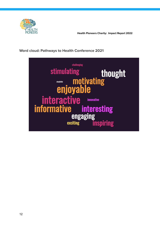

### **Word cloud: Pathways to Health Conference 2021**

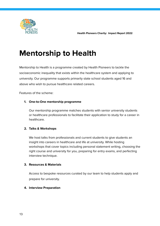

## <span id="page-12-0"></span>**Mentorship to Health**

Mentorship to Health is a programme created by Health Pioneers to tackle the socioeconomic inequality that exists within the healthcare system and applying to university. Our programme supports primarily state school students aged 16 and above who wish to pursue healthcare related careers.

Features of the scheme:

### **1. One-to-One mentorship programme**

Our mentorship programme matches students with senior university students or healthcare professionals to facilitate their application to study for a career in healthcare.

### **2. Talks & Workshops**

We host talks from professionals and current students to give students an insight into careers in healthcare and life at university. While hosting workshops that cover topics including personal statement writing, choosing the right course and university for you, preparing for entry exams, and perfecting interview technique.

### **3. Resources & Materials**

Access to bespoke resources curated by our team to help students apply and prepare for university.

### **4. Interview Preparation**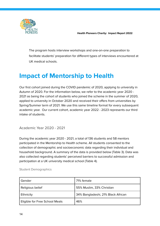



The program hosts interview workshops and one-on-one preparation to facilitate students' preparation for different types of interviews encountered at UK medical schools.

### <span id="page-13-0"></span>**Impact of Mentorship to Health**

Our first cohort joined during the COVID pandemic of 2020, applying to university in Autumn of 2020. For the information below, we refer to the academic year 2020 - 2021 as being the cohort of students who joined the scheme in the summer of 2020, applied to university in October 2020 and received their offers from universities by Spring/Summer term of 2021. We use this same timeline format for every subsequent academic year. Our current cohort, academic year 2022 - 2023 represents our third intake of students.

<span id="page-13-1"></span>Academic Year 2020 - 2021

During the academic year 2020 - 2021, a total of 136 students and 58 mentors participated in the Mentorship to Health scheme. All students consented to the collection of demographic and socioeconomic data regarding their individual and household background. A summary of the data is provided below (Table 3). Data was also collected regarding students' perceived barriers to successful admission and participation at a UK university medical school (Table 4).

| Gender                         | 71% female                         |
|--------------------------------|------------------------------------|
| Religious belief               | 55% Muslim, 33% Christian          |
| Ethnicity                      | 34% Bangladeshi, 21% Black African |
| Eligible for Free School Meals | 46%                                |

<span id="page-13-2"></span>Student Demographics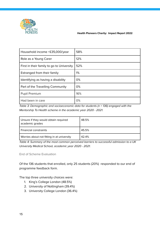

| Household income <£35,000/year            | 58% |
|-------------------------------------------|-----|
| Role as a Young Carer                     | 12% |
| First in their family to go to University | 52% |
| Estranged from their family               | 1%  |
| Identifying as having a disability        | 0%  |
| Part of the Travelling Community          | 0%  |
| <b>Pupil Premium</b>                      | 16% |
| Had been in care                          | 0%  |

Table 3: Demographic and socioeconomic data for students ( $n = 136$ ) engaged with the Mentorship To Health scheme in the academic year 2020 - 2021.

| Unsure if they would obtain required<br>academic grades | 48.5% |
|---------------------------------------------------------|-------|
| Financial constraints                                   | 45.5% |
| Worries about not fitting in at university              | 42.4% |

Table 4: Summary of the most common perceived barriers to successful admission to a UK University Medical School, academic year 2020 - 2021.

<span id="page-14-0"></span>End of Scheme Evaluation

Of the 136 students that enrolled, only 25 students (20%) responded to our end of programme feedback form.

The top three university choices were:

- 1. King's College London (48.5%)
- 2. University of Nottingham (39.4%)
- 3. University College London (36.4%)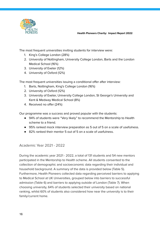

The most frequent universities inviting students for interview were:

- 1. King's College London (28%)
- 2. University of Nottingham, University College London, Barts and the London Medical School (16%)
- 3. University of Exeter (12%)
- 4. University of Oxford (12%)

The most frequent universities issuing a conditional offer after interview:

- 1. Barts, Nottingham, King's College London (16%)
- 2. University of Oxford (12%)
- 3. University of Exeter, University College London, St George's University and Kent & Medway Medical School (8%)
- 4. Received no offer (24%)

Our programme was a success and proved popular with the students:

- 94% of students were "Very likely" to recommend the Mentorship to Health scheme to a friend.
- 95% ranked mock interview preparation as 5 out of 5 on a scale of usefulness.
- 82% ranked their mentor 5 out of 5 on a scale of usefulness.

### <span id="page-15-0"></span>Academic Year 2021 - 2022

During the academic year 2021 - 2022, a total of 131 students and 54 new mentors participated in the Mentorship to Health scheme. All students consented to the collection of demographic and socioeconomic data regarding their individual and household background. A summary of the data is provided below (Table 5). Furthermore, Health Pioneers collected data regarding perceived barriers to applying to Medical School at UK Universities, grouped below into barriers to successful admission (Table 6) and barriers to applying outside of London (Table 7). When choosing university, 64% of students selected their university based on national ranking, whilst 60% of students also considered how near the university is to their family/current home.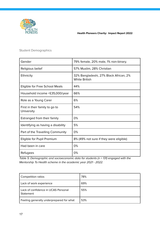

### <span id="page-16-0"></span>Student Demographics

| Gender                                       | 79% female, 20% male, 1% non-binary.                           |
|----------------------------------------------|----------------------------------------------------------------|
| Religious belief                             | 57% Muslim, 28% Christian                                      |
| Ethnicity                                    | 32% Bangladeshi, 27% Black African, 2%<br><b>White British</b> |
| Eligible for Free School Meals               | 44%                                                            |
| Household income <£35,000/year               | 66%                                                            |
| Role as a Young Carer                        | 6%                                                             |
| First in their family to go to<br>University | 54%                                                            |
| Estranged from their family                  | 0%                                                             |
| Identifying as having a disability           | 5%                                                             |
| Part of the Travelling Community             | 0%                                                             |
| Eligible for Pupil Premium                   | 8% (49% not sure if they were eligible)                        |
| Had been in care                             | 0%                                                             |
| Refugees                                     | 0%                                                             |

Table 5: Demographic and socioeconomic data for students (n = 131) engaged with the Mentorship To Health scheme in the academic year 2021 - 2022.

| Competition ratios                               | 78% |
|--------------------------------------------------|-----|
| Lack of work experience                          | 69% |
| Lack of confidence in UCAS Personal<br>Statement | 55% |
| Feeling generally underprepared for what         | 53% |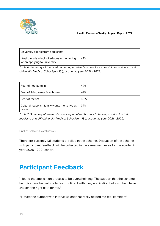

| university expect from applicants                                           |     |
|-----------------------------------------------------------------------------|-----|
| I feel there is a lack of adequate mentoring<br>when applying to university | 47% |

Table 6: Summary of the most common perceived barriers to successful admission to a UK University Medical School (n = 131), academic year 2021 - 2022.

| Fear of not fitting in                                | 47% |
|-------------------------------------------------------|-----|
| Fear of living away from home                         | 41% |
| Fear of racism                                        | 40% |
| Cultural reasons - family wants me to live at<br>home | 37% |

Table 7: Summary of the most common perceived barriers to leaving London to study medicine at a UK University Medical School (n = 131), academic year 2021 - 2022.

<span id="page-17-0"></span>End of scheme evaluation

There are currently 131 students enrolled in the scheme. Evaluation of the scheme with participant feedback will be collected in the same manner as for the academic year 2020 - 2021 cohort.

### <span id="page-17-1"></span>**Participant Feedback**

"I found the application process to be overwhelming. The support that the scheme had given me helped me to feel confident within my application but also that I have chosen the right path for me."

"I loved the support with interviews and that really helped me feel confident"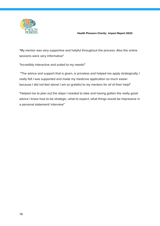

"My mentor was very supportive and helpful throughout the process. Also the online sessions were very informative"

"Incredibly interactive and suited to my needs!"

"The advice and support that is given, is priceless and helped me apply strategically. I really felt I was supported and made my medicine application so much easier because I did not feel alone! I am so grateful to my mentors for all of their help!"

"Helped me to plan out the steps I needed to take and having gotten the really good advice I knew how to be strategic, what to expect, what things would be impressive in a personal statement/ interview"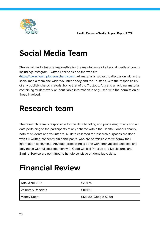

## **Social Media Team**

The social media team is responsible for the maintenance of all social media accounts including: Instagram, Twitter, Facebook and the website ([https://www.healthpioneerscharity.com\)](https://www.healthpioneerscharity.com/contact-us). All material is subject to discussion within the social media team, the wider volunteer body and the Trustees, with the responsibility of any publicly shared material being that of the Trustees. Any and all original material containing student work or identifiable information is only used with the permission of those involved.

## <span id="page-19-0"></span>**Research team**

The research team is responsible for the data handling and processing of any and all data pertaining to the participants of any scheme within the Health Pioneers charity, both of students and volunteers. All data collected for research purposes are done with full written consent from participants, who are permissible to withdraw their information at any time. Any data processing is done with anonymised data sets and only those with full accreditation with Good Clinical Practice and Disclosures and Barring Service are permitted to handle sensitive or identifiable data.

## <span id="page-19-1"></span>**Financial Review**

| Total April 2021          | £201.74                |  |
|---------------------------|------------------------|--|
| <b>Voluntary Receipts</b> | £1114.19               |  |
| <b>Money Spent</b>        | £123.82 (Google Suite) |  |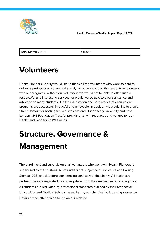

| Total March 2022 |  |
|------------------|--|
|                  |  |

£119211

## <span id="page-20-0"></span>**Volunteers**

Health Pioneers Charity would like to thank all the volunteers who work so hard to deliver a professional, committed and dynamic service to all the students who engage with our programs. Without our volunteers we would not be able to offer such a resourceful and interesting service, nor would we be able to offer assistance and advice to so many students. It is their dedication and hard work that ensures our programs are successful, impactful and enjoyable. In addition we would like to thank Street Doctors for hosting first aid sessions and Queen Mary University and East London NHS Foundation Trust for providing us with resources and venues for our Health and Leadership Weekends.

# <span id="page-20-1"></span>**Structure, Governance & Management**

The enrollment and supervision of all volunteers who work with Health Pioneers is supervised by the Trustees. All volunteers are subject to a Disclosure and Barring Service (DBS) check before commencing service with the charity. All healthcare professionals are regulated by and registered with their respective registering body. All students are regulated by professional standards outlined by their respective Universities and Medical Schools, as well as by our charities' policy and governance. Details of the latter can be found on our website.